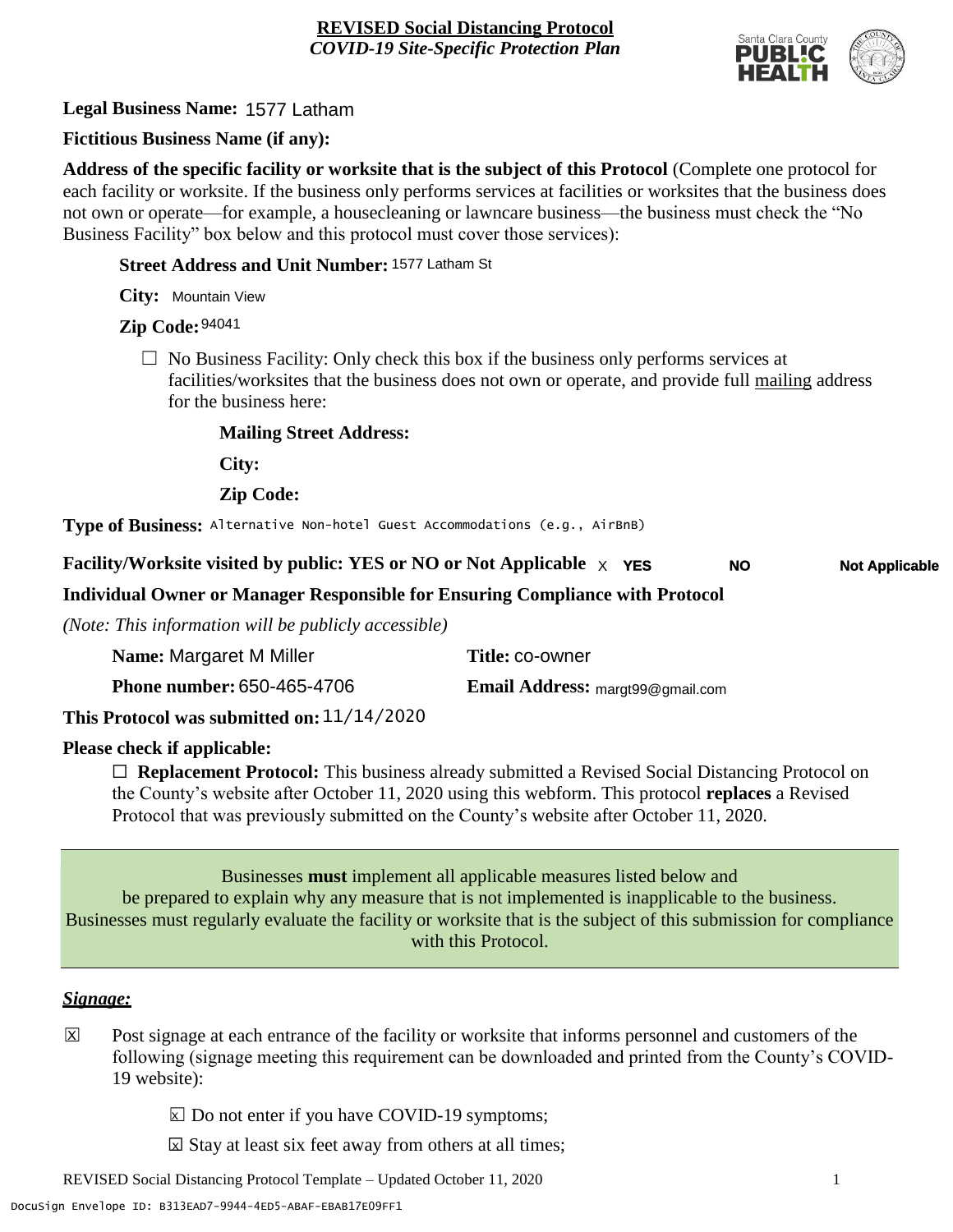

**Legal Business Name:** 1577 Latham

# **Fictitious Business Name (if any):**

**Address of the specific facility or worksite that is the subject of this Protocol** (Complete one protocol for each facility or worksite. If the business only performs services at facilities or worksites that the business does not own or operate—for example, a housecleaning or lawncare business—the business must check the "No Business Facility" box below and this protocol must cover those services):

#### **Street Address and Unit Number:** 1577 Latham St

**City:** Mountain View

# **Zip Code:** 94041

 $\Box$  No Business Facility: Only check this box if the business only performs services at facilities/worksites that the business does not own or operate, and provide full mailing address for the business here:

#### **Mailing Street Address:**

**City:**

**Zip Code:**

**Type of Business:** Alternative Non-hotel Guest Accommodations (e.g., AirBnB)

#### **Facility/Worksite visited by public: YES or NO or Not Applicable** X **YES Not Applicable NO**

# **Individual Owner or Manager Responsible for Ensuring Compliance with Protocol**

*(Note: This information will be publicly accessible)*

| Name: Margaret M Miller           | Title: co-owner                         |
|-----------------------------------|-----------------------------------------|
| <b>Phone number: 650-465-4706</b> | <b>Email Address:</b> margt99@gmail.com |
| 11/11/2020                        |                                         |

# **This Protocol was submitted on:** 11/14/2020

#### **Please check if applicable:**

☐ **Replacement Protocol:** This business already submitted a Revised Social Distancing Protocol on the County's website after October 11, 2020 using this webform. This protocol **replaces** a Revised Protocol that was previously submitted on the County's website after October 11, 2020.

Businesses **must** implement all applicable measures listed below and be prepared to explain why any measure that is not implemented is inapplicable to the business. Businesses must regularly evaluate the facility or worksite that is the subject of this submission for compliance with this Protocol.

#### *Signage:*

- Post signage at each entrance of the facility or worksite that informs personnel and customers of the following (signage meeting this requirement can be downloaded and printed from the County's COVID-19 website):  $|\overline{x}|$ 
	- $\boxed{\times}$  Do not enter if you have COVID-19 symptoms;
	- $\boxtimes$  Stay at least six feet away from others at all times;

REVISED Social Distancing Protocol Template – Updated October 11, 2020 1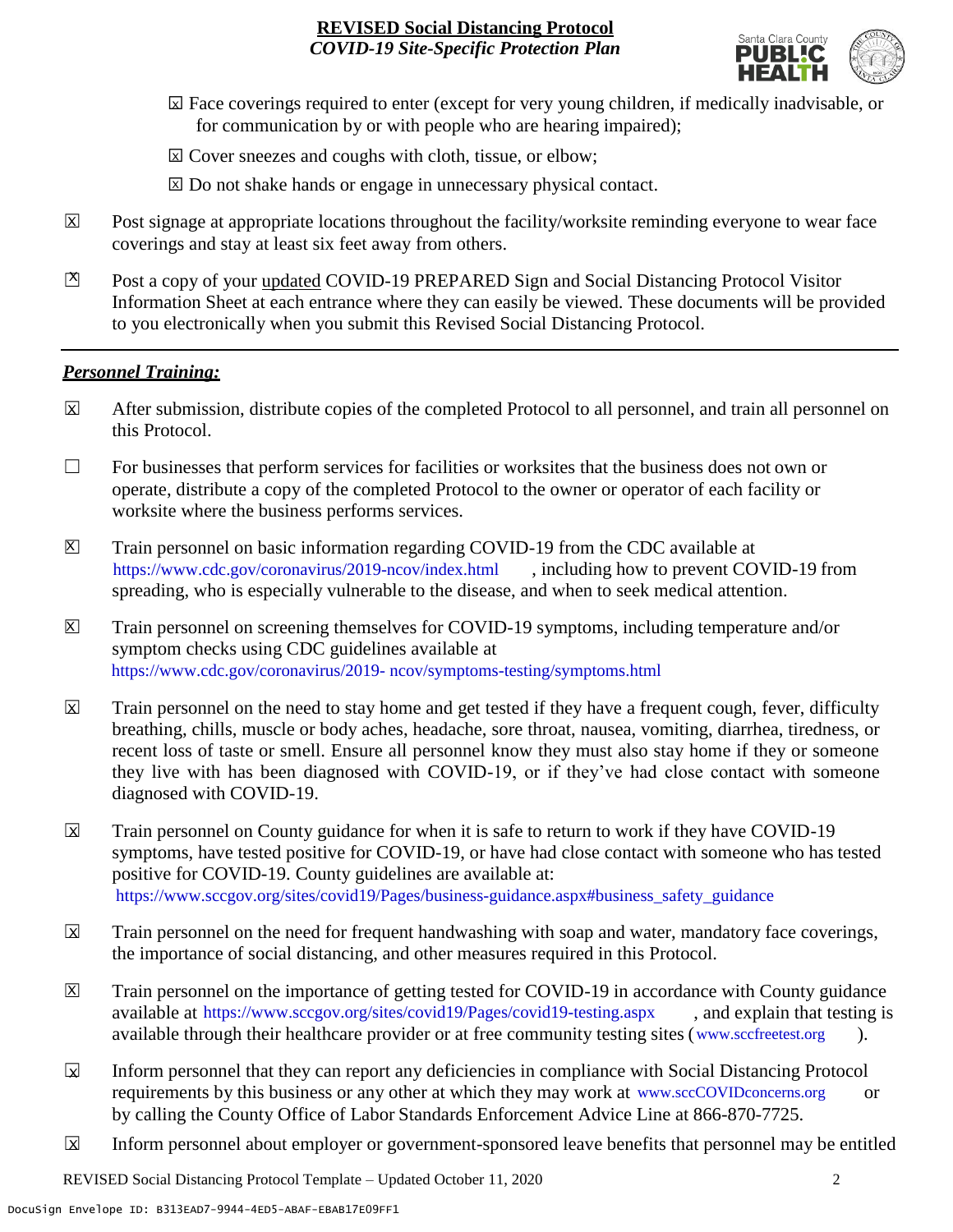

- ☐ Face coverings required to enter (except for very young children, if medically inadvisable, or X for communication by or with people who are hearing impaired);
- ⊠ Cover sneezes and coughs with cloth, tissue, or elbow;
- ⊠ Do not shake hands or engage in unnecessary physical contact.
- Post signage at appropriate locations throughout the facility/worksite reminding everyone to wear face coverings and stay at least six feet away from others. X
- Post a copy of your updated COVID-19 PREPARED Sign and Social Distancing Protocol Visitor Information Sheet at each entrance where they can easily be viewed. These documents will be provided to you electronically when you submit this Revised Social Distancing Protocol.  $\mathbb{Z}$

#### *Personnel Training:*

- After submission, distribute copies of the completed Protocol to all personnel, and train all personnel on this Protocol.  $\mathbf x$
- $\Box$  For businesses that perform services for facilities or worksites that the business does not own or operate, distribute a copy of the completed Protocol to the owner or operator of each facility or worksite where the business performs services.
- Train personnel on basic information regarding COVID-19 from the CDC available at [https://www.cdc.gov/coronavirus/2019-ncov/index.html,](https://www.cdc.gov/coronavirus/2019-ncov/index.html) including how to prevent COVID-19 from spreading, who is especially vulnerable to the disease, and when to seek medical attention.  $\mathsf{X}$
- Train personnel on screening themselves for COVID-19 symptoms, including temperature and/or symptom checks using CDC guidelines available at [https://www.cdc.gov/coronavirus/2019-](https://www.cdc.gov/coronavirus/2019-ncov/symptoms-testing/symptoms.html) [ncov/symptoms-testing/symptoms.html.](https://www.cdc.gov/coronavirus/2019-ncov/symptoms-testing/symptoms.html) https://www.cdc.gov/coronavirus/2019- ncov/symptoms-testing/symptoms.html  $|\mathsf{X}|$
- Train personnel on the need to stay home and get tested if they have a frequent cough, fever, difficulty breathing, chills, muscle or body aches, headache, sore throat, nausea, vomiting, diarrhea, tiredness, or recent loss of taste or smell. Ensure all personnel know they must also stay home if they or someone they live with has been diagnosed with COVID-19, or if they've had close contact with someone diagnosed with COVID-19.  $\overline{\mathsf{x}}$
- Train personnel on County guidance for when it is safe to return to work if they have COVID-19 symptoms, have tested positive for COVID-19, or have had close contact with someone who has tested positive for COVID-19. County guidelines are available at: [https://www.sccgov.org/sites/covid19/Pages/business-guidance.aspx#business\\_safety\\_guidance.](https://www.sccgov.org/sites/covid19/Pages/business-guidance.aspx#business_safety_guidance.) https://www.sccgov.org/sites/covid19/Pages/business-guidance.aspx#business\_safety\_guidance  $\overline{\mathbf{x}}$
- Train personnel on the need for frequent handwashing with soap and water, mandatory face coverings, the importance of social distancing, and other measures required in this Protocol.  $\overline{\mathsf{x}}$
- Train personnel on the importance of getting tested for COVID-19 in accordance with County guidance available at [https://www.sccgov.org/sites/covid19/Pages/covid19-testing.aspx,](https://www.sccgov.org/sites/covid19/Pages/covid19-testing.aspx) and explain that testing is available through their healthcare provider or at free community testing sites [\(www.sccfreetest.org](http://www.sccfreetest.org/) ).  $\vert X \vert$
- Inform personnel that they can report any deficiencies in compliance with Social Distancing Protocol requirements by this business or any other at which they may work at [www.sccCOVIDconcerns.org](http://www.scccovidconcerns.org/) or by calling the County Office of Labor Standards Enforcement Advice Line at 866-870-7725.  $\overline{\mathbf{x}}$
- Inform personnel about employer or government-sponsored leave benefits that personnel may be entitled  $\boxtimes$

REVISED Social Distancing Protocol Template – Updated October 11, 2020 2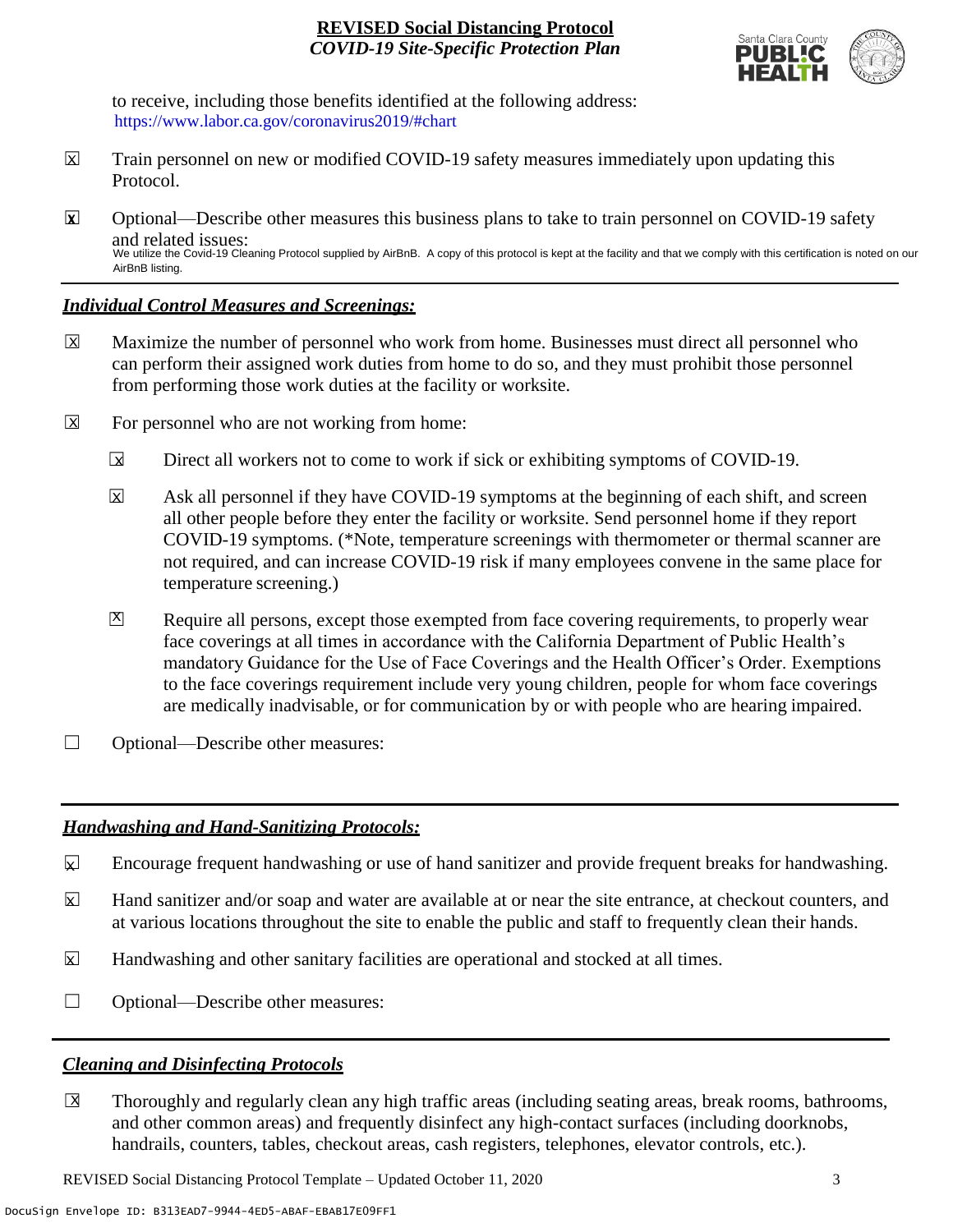

to receive, including those benefits identified at the following address: [https://www.labor.ca.gov/coronavirus2019/#chart.](https://www.labor.ca.gov/coronavirus2019/#chart) https://www.labor.ca.gov/coronavirus2019/#chart

- Train personnel on new or modified COVID-19 safety measures immediately upon updating this Protocol.  $\boxtimes$
- ☐ Optional—Describe other measures this business plans to take to train personnel on COVID-19 safety and related issues: We utilize the Covid-19 Cleaning Protocol supplied by AirBnB. A copy of this protocol is kept at the facility and that we comply with this certification is noted on our AirBnB listing. **X**

## *Individual Control Measures and Screenings:*

- Maximize the number of personnel who work from home. Businesses must direct all personnel who can perform their assigned work duties from home to do so, and they must prohibit those personnel from performing those work duties at the facility or worksite.  $|\overline{X}|$
- For personnel who are not working from home:  $\boxtimes$ 
	- Direct all workers not to come to work if sick or exhibiting symptoms of COVID-19.  $\overline{\mathbf{x}}$
	- Ask all personnel if they have COVID-19 symptoms at the beginning of each shift, and screen all other people before they enter the facility or worksite. Send personnel home if they report COVID-19 symptoms. (\*Note, temperature screenings with thermometer or thermal scanner are not required, and can increase COVID-19 risk if many employees convene in the same place for temperature screening.)  $\overline{\mathbf{x}}$
	- Require all persons, except those exempted from face covering requirements, to properly wear face coverings at all times in accordance with the California Department of Public Health's mandatory Guidance for the Use of Face Coverings and the Health Officer's Order. Exemptions to the face coverings requirement include very young children, people for whom face coverings are medically inadvisable, or for communication by or with people who are hearing impaired.  $\mathbf{X}$
- □ Optional—Describe other measures:

# *Handwashing and Hand-Sanitizing Protocols:*

- Encourage frequent handwashing or use of hand sanitizer and provide frequent breaks for handwashing.  $\mathbf{x}$
- Hand sanitizer and/or soap and water are available at or near the site entrance, at checkout counters, and at various locations throughout the site to enable the public and staff to frequently clean their hands.  $\overline{\mathbf{x}}$
- Handwashing and other sanitary facilities are operational and stocked at all times.  $\mathbf{x}$
- □ Optional—Describe other measures:

# *Cleaning and Disinfecting Protocols*

☐ Thoroughly and regularly clean any high traffic areas (including seating areas, break rooms, bathrooms, and other common areas) and frequently disinfect any high-contact surfaces (including doorknobs, handrails, counters, tables, checkout areas, cash registers, telephones, elevator controls, etc.).  $\overline{X}$ 

REVISED Social Distancing Protocol Template – Updated October 11, 2020 3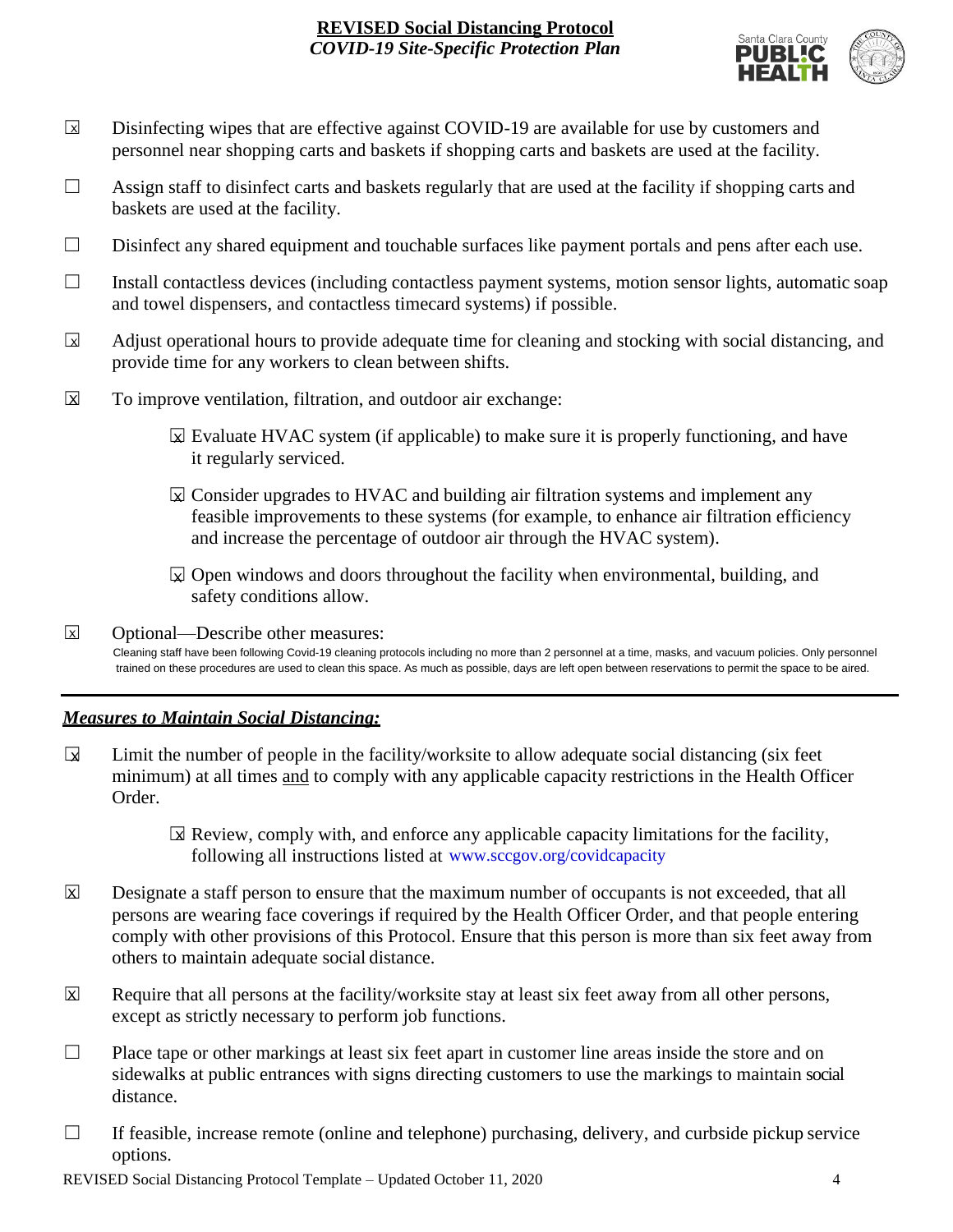

- Disinfecting wipes that are effective against COVID-19 are available for use by customers and personnel near shopping carts and baskets if shopping carts and baskets are used at the facility.  $\boxed{\mathsf{x}}$
- $\Box$  Assign staff to disinfect carts and baskets regularly that are used at the facility if shopping carts and baskets are used at the facility.
- ☐ Disinfect any shared equipment and touchable surfaces like payment portals and pens after each use.
- ☐ Install contactless devices (including contactless payment systems, motion sensor lights, automatic soap and towel dispensers, and contactless timecard systems) if possible.
- Adjust operational hours to provide adequate time for cleaning and stocking with social distancing, and provide time for any workers to clean between shifts.  $\sqrt{X}$
- To improve ventilation, filtration, and outdoor air exchange:  $\overline{\mathsf{x}}$ 
	- $\boxtimes$  Evaluate HVAC system (if applicable) to make sure it is properly functioning, and have it regularly serviced.
	- $\boxtimes$  Consider upgrades to HVAC and building air filtration systems and implement any feasible improvements to these systems (for example, to enhance air filtration efficiency and increase the percentage of outdoor air through the HVAC system).
	- $\boxtimes$  Open windows and doors throughout the facility when environmental, building, and safety conditions allow.
- ☐ Optional—Describe other measures: Cleaning staff have been following Covid-19 cleaning protocols including no more than 2 personnel at a time, masks, and vacuum policies. Only personnel trained on these procedures are used to clean this space. As much as possible, days are left open between reservations to permit the space to be aired. X

# *Measures to Maintain Social Distancing:*

- Limit the number of people in the facility/worksite to allow adequate social distancing (six feet minimum) at all times and to comply with any applicable capacity restrictions in the Health Officer Order.  $\mathbf{r}$ 
	- $\boxtimes$  Review, comply with, and enforce any applicable capacity limitations for the facility, following all instructions listed at www.sccgov.org/covidcapacity
- Designate a staff person to ensure that the maximum number of occupants is not exceeded, that all persons are wearing face coverings if required by the Health Officer Order, and that people entering comply with other provisions of this Protocol. Ensure that this person is more than six feet away from others to maintain adequate social distance.  $\overline{\mathsf{x}}$
- Require that all persons at the facility/worksite stay at least six feet away from all other persons, except as strictly necessary to perform job functions. X
- $\Box$  Place tape or other markings at least six feet apart in customer line areas inside the store and on sidewalks at public entrances with signs directing customers to use the markings to maintain social distance.
- $\Box$  If feasible, increase remote (online and telephone) purchasing, delivery, and curbside pickup service options.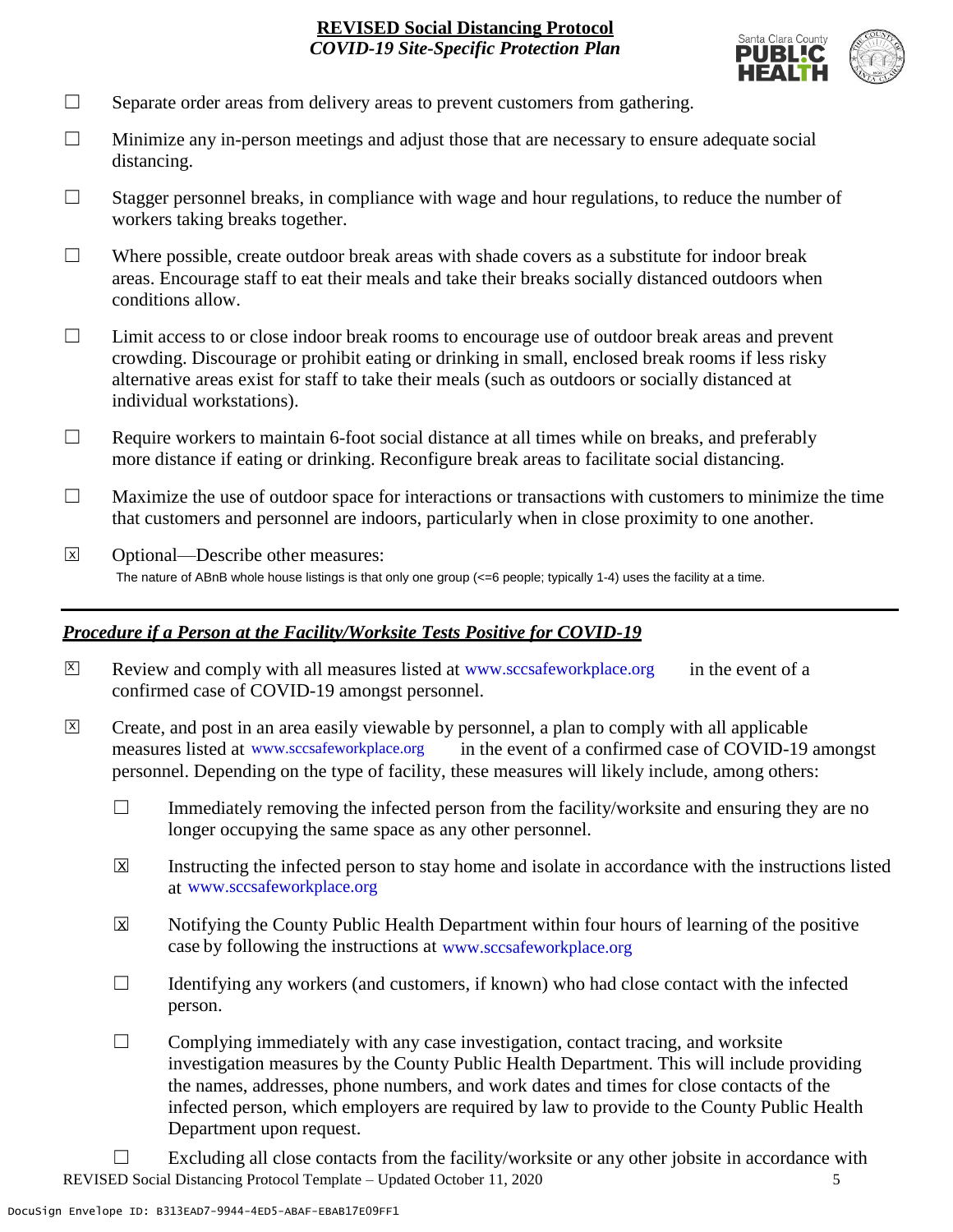

- $\Box$  Separate order areas from delivery areas to prevent customers from gathering.
- $\Box$  Minimize any in-person meetings and adjust those that are necessary to ensure adequate social distancing.
- $\Box$  Stagger personnel breaks, in compliance with wage and hour regulations, to reduce the number of workers taking breaks together.
- $\Box$  Where possible, create outdoor break areas with shade covers as a substitute for indoor break areas. Encourage staff to eat their meals and take their breaks socially distanced outdoors when conditions allow.
- ☐ Limit access to or close indoor break rooms to encourage use of outdoor break areas and prevent crowding. Discourage or prohibit eating or drinking in small, enclosed break rooms if less risky alternative areas exist for staff to take their meals (such as outdoors or socially distanced at individual workstations).
- $\Box$  Require workers to maintain 6-foot social distance at all times while on breaks, and preferably more distance if eating or drinking. Reconfigure break areas to facilitate social distancing.
- $\Box$  Maximize the use of outdoor space for interactions or transactions with customers to minimize the time that customers and personnel are indoors, particularly when in close proximity to one another.
- ☐ Optional—Describe other measures: The nature of ABnB whole house listings is that only one group (<=6 people; typically 1-4) uses the facility at a time.  $\overline{x}$

#### *Procedure if a Person at the Facility/Worksite Tests Positive for COVID-19*

- $\boxtimes$  Review and comply with all measures listed at [www.sccsafeworkplace.org](http://www.sccsafeworkplace.org/) in the event of a confirmed case of COVID-19 amongst personnel.
- ☐ Create, and post in an area easily viewable by personnel, a plan to comply with all applicable in the event of a confirmed case of COVID-19 amongst personnel. Depending on the type of facility, these measures will likely include, among others: measures listed at www.sccsafeworkplace.org  $\overline{X}$ 
	- $\Box$  Immediately removing the infected person from the facility/worksite and ensuring they are no longer occupying the same space as any other personnel.
	- Instructing the infected person to stay home and isolate in accordance with the instructions listed at [www.sccsafeworkplace.org.](file:///C:/Users/raphael.rajendra/AppData/Local/Microsoft/Windows/INetCache/Content.Outlook/PTLHNOTE/www.sccsafeworkplace.org) www.sccsafeworkplace.org X
	- Notifying the County Public Health Department within four hours of learning of the positive case by following the instructions at www.sccsafeworkplace.org  $\overline{X}$
	- $\Box$  Identifying any workers (and customers, if known) who had close contact with the infected person.
	- $\Box$  Complying immediately with any case investigation, contact tracing, and worksite investigation measures by the County Public Health Department. This will include providing the names, addresses, phone numbers, and work dates and times for close contacts of the infected person, which employers are required by law to provide to the County Public Health Department upon request.
- REVISED Social Distancing Protocol Template Updated October 11, 2020 5  $\Box$  Excluding all close contacts from the facility/worksite or any other jobsite in accordance with